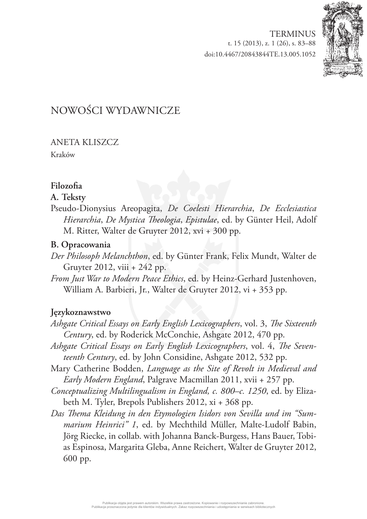**[TERMINUS](http://www.ejournals.eu/Terminus/)** t. 15 (2013), z. 1 (26), s. 83–88 doi:10.4467/20843844TE.13.005.1052



# NOWOŚCI WYDAWNICZE

# ANETA KLISZCZ

Kraków

# **Filozofia**

# **A. Teksty**

Pseudo-Dionysius Areopagita, *De Coelesti Hierarchia*, *De Ecclesiastica Hierarchia*, *De Mystica Theologia*, *Epistulae*, ed. by Günter Heil, Adolf M. Ritter, Walter de Gruyter 2012, xvi + 300 pp.

# **B. Opracowania**

- *Der Philosoph Melanchthon*, ed. by Günter Frank, Felix Mundt, Walter de Gruyter 2012, viii + 242 pp.
- *From Just War to Modern Peace Ethics*, ed. by Heinz-Gerhard Justenhoven, William A. Barbieri, Jr., Walter de Gruyter 2012, vi + 353 pp.

# **Językoznawstwo**

- *Ashgate Critical Essays on Early English Lexicographers*, vol. 3, *The Sixteenth Century*, ed. by Roderick McConchie, Ashgate 2012, 470 pp.
- *Ashgate Critical Essays on Early English Lexicographers*, vol. 4, *The Seventeenth Century*, ed. by John Considine, Ashgate 2012, 532 pp.
- Mary Catherine Bodden, *Language as the Site of Revolt in Medieval and Early Modern England*, Palgrave Macmillan 2011, xvii + 257 pp.
- *Conceptualizing Multilingualism in England, c. 800–c. 1250*, ed. by Elizabeth M. Tyler, Brepols Publishers 2012, xi + 368 pp.
- *Das Thema Kleidung in den Etymologien Isidors von Sevilla und im "Summarium Heinrici" 1*, ed. by Mechthild Müller, Malte-Ludolf Babin, Jörg Riecke, in collab. with Johanna Banck-Burgess, Hans Bauer, Tobias Espinosa, Margarita Gleba, Anne Reichert, Walter de Gruyter 2012, 600 pp.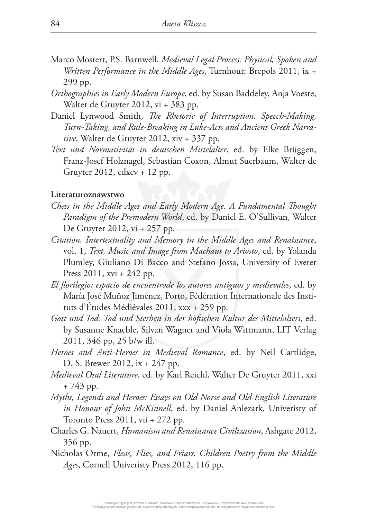- Marco Mostert, P.S. Barnwell, *Medieval Legal Process: Physical, Spoken and Written Performance in the Middle Ages*, Turnhout: Brepols 2011, ix + 299 pp.
- *Orthographies in Early Modern Europe*, ed. by Susan Baddeley, Anja Voeste, Walter de Gruyter 2012, vi + 383 pp.
- Daniel Lynwood Smith, *The Rhetoric of Interruption. Speech-Making, Turn-Taking, and Rule-Breaking in Luke-Acts and Ancient Greek Narrative*, Walter de Gruyter 2012, xiv + 337 pp.
- *Text und Normativität in deutschen Mittelalter*, ed. by Elke Brüggen, Franz-Josef Holznagel, Sebastian Coxon, Almut Suerbaum, Walter de Gruyter 2012, cdxcv + 12 pp.

#### **Literaturoznawstwo**

- *Chess in the Middle Ages and Early Modern Age. A Fundamental Thought Paradigm of the Premodern World*, ed. by Daniel E. O'Sullivan, Walter De Gruyter 2012, vi + 257 pp.
- *Citation, Intertextuality and Memory in the Middle Ages and Renaissance*, vol. 1, *Text, Music and Image from Machaut to Ariosto*, ed. by Yolanda Plumley, Giuliano Di Bacco and Stefano Jossa, University of Exeter Press 2011, xvi + 242 pp.
- *El florilegio: espacio de encuentrode los autores antiguos y medievales*, ed. by María José Muñoz Jiménez, Porto, Fédération Internationale des Instituts d'Études Médiévales 2011, xxx + 259 pp.
- *Gott und Tod: Tod und Sterben in der höfischen Kultur des Mittelalters*, ed. by Susanne Knaeble, Silvan Wagner and Viola Wittmann, LIT Verlag 2011, 346 pp, 25 b/w ill.
- *Heroes and Anti-Heroes in Medieval Romance*, ed. by Neil Cartlidge, D. S. Brewer 2012, ix + 247 pp.
- *Medieval Oral Literature*, ed. by Karl Reichl, Walter De Gruyter 2011, xxi + 743 pp.
- *Myths, Legends and Heroes: Essays on Old Norse and Old English Literature in Honour of John McKinnell*, ed. by Daniel Anlezark, Univeristy of Toronto Press 2011, vii + 272 pp.
- Charles G. Nauert, *Humanism and Renaissance Civilization*, Ashgate 2012, 356 pp.
- Nicholas Orme, *Fleas, Flies, and Friars. Children Poetry from the Middle Ages*, Cornell Univeristy Press 2012, 116 pp.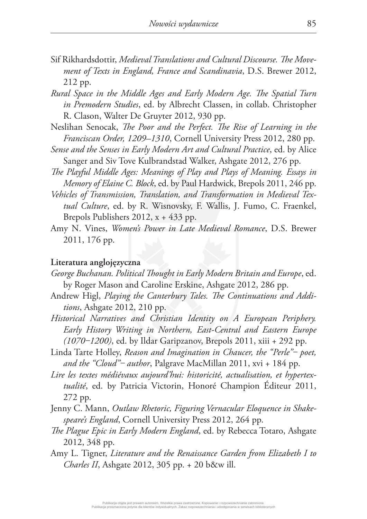- Sif Rikhardsdottir, *Medieval Translations and Cultural Discourse. The Movement of Texts in England, France and Scandinavia*, D.S. Brewer 2012, 212 pp.
- *Rural Space in the Middle Ages and Early Modern Age. The Spatial Turn in Premodern Studies*, ed. by Albrecht Classen, in collab. Christopher R. Clason, Walter De Gruyter 2012, 930 pp.
- Neslihan Senocak, *The Poor and the Perfect. The Rise of Learning in the Franciscan Order, 1209–1310*, Cornell University Press 2012, 280 pp.
- *Sense and the Senses in Early Modern Art and Cultural Practice*, ed. by Alice Sanger and Siv Tove Kulbrandstad Walker, Ashgate 2012, 276 pp.
- *The Playful Middle Ages: Meanings of Play and Plays of Meaning. Essays in Memory of Elaine C. Block*, ed. by Paul Hardwick, Brepols 2011, 246 pp.
- *Vehicles of Transmission, Translation, and Transformation in Medieval Textual Culture*, ed. by R. Wisnovsky, F. Wallis, J. Fumo, C. Fraenkel, Brepols Publishers 2012, x + 433 pp.
- Amy N. Vines, *Women's Power in Late Medieval Romance*, D.S. Brewer 2011, 176 pp.

## **Literatura anglojęzyczna**

- *George Buchanan. Political Thought in Early Modern Britain and Europe*, ed. by Roger Mason and Caroline Erskine, Ashgate 2012, 286 pp.
- Andrew Higl, *Playing the Canterbury Tales. The Continuations and Additions*, Ashgate 2012, 210 pp.
- *Historical Narratives and Christian Identity on A European Periphery. Early History Writing in Northern, East-Central and Eastern Europe (1070‒1200)*, ed. by Ildar Garipzanov, Brepols 2011, xiii + 292 pp.
- Linda Tarte Holley, *Reason and Imagination in Chaucer, the "Perle"* poet, *and the "Cloud"‒ author*, Palgrave MacMillan 2011, xvi + 184 pp.
- *Lire les textes médiévaux aujourd'hui: historicité, actualisation, et hypertextualité*, ed. by Patricia Victorin, Honoré Champion Éditeur 2011, 272 pp.
- Jenny C. Mann, *Outlaw Rhetoric, Figuring Vernacular Eloquence in Shakespeare's England*, Cornell University Press 2012, 264 pp.
- *The Plague Epic in Early Modern England*, ed. by Rebecca Totaro, Ashgate 2012, 348 pp.
- Amy L. Tigner, *Literature and the Renaissance Garden from Elizabeth I to Charles II*, Ashgate 2012, 305 pp. + 20 b&w ill.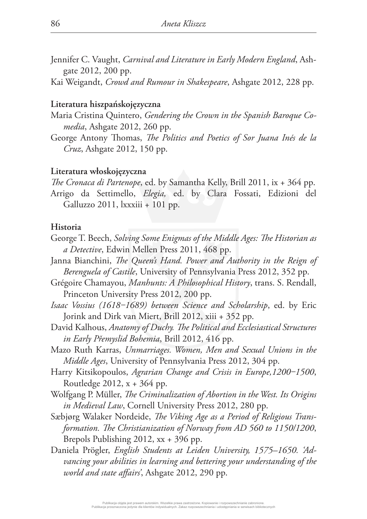- Jennifer C. Vaught, *Carnival and Literature in Early Modern England*, Ashgate 2012, 200 pp.
- Kai Weigandt, *Crowd and Rumour in Shakespeare*, Ashgate 2012, 228 pp.

## **Literatura hiszpańskojęzyczna**

- Maria Cristina Quintero, *Gendering the Crown in the Spanish Baroque Comedia*, Ashgate 2012, 260 pp.
- George Antony Thomas, *The Politics and Poetics of Sor Juana Inés de la Cruz*, Ashgate 2012, 150 pp.

## **Literatura włoskojęzyczna**

*The Cronaca di Partenope*, ed. by Samantha Kelly, Brill 2011, ix + 364 pp. Arrigo da Settimello, *Elegia,* ed. by Clara Fossati, Edizioni del Galluzzo 2011, lxxxiii + 101 pp.

#### **Historia**

- George T. Beech, *Solving Some Enigmas of the Middle Ages: The Historian as a Detective*, Edwin Mellen Press 2011, 468 pp.
- Janna Bianchini, *The Queen's Hand. Power and Authority in the Reign of Berenguela of Castile*, University of Pennsylvania Press 2012, 352 pp.
- Grégoire Chamayou, *Manhunts: A Philosophical History*, trans. S. Rendall, Princeton University Press 2012, 200 pp.
- *Isaac Vossius (1618‒1689) between Science and Scholarship*, ed. by Eric Jorink and Dirk van Miert, Brill 2012, xiii + 352 pp.
- David Kalhous, *Anatomy of Duchy. The Political and Ecclesiastical Structures in Early Přemyslid Bohemia*, Brill 2012, 416 pp.
- Mazo Ruth Karras, *Unmarriages. Women, Men and Sexual Unions in the Middle Ages*, University of Pennsylvania Press 2012, 304 pp.
- Harry Kitsikopoulos, Agrarian Change and Crisis in Europe, 1200-1500, Routledge 2012, x + 364 pp.
- Wolfgang P. Müller, *The Criminalization of Abortion in the West. Its Origins in Medieval Law*, Cornell University Press 2012, 280 pp.
- Sæbjørg Walaker Nordeide, *The Viking Age as a Period of Religious Transformation. The Christianization of Norway from AD 560 to 1150/1200*, Brepols Publishing 2012, xx + 396 pp.
- Daniela Prögler, *English Students at Leiden University, 1575–1650. 'Advancing your abilities in learning and bettering your understanding of the world and state affairs'*, Ashgate 2012, 290 pp.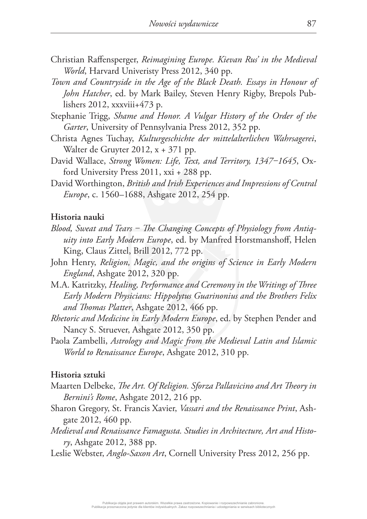- Christian Raffensperger, *Reimagining Europe. Kievan Rus' in the Medieval World*, Harvard Univeristy Press 2012, 340 pp.
- *Town and Countryside in the Age of the Black Death. Essays in Honour of John Hatcher*, ed. by Mark Bailey, Steven Henry Rigby, Brepols Publishers 2012, xxxviii+473 p.
- Stephanie Trigg, *Shame and Honor. A Vulgar History of the Order of the Garter*, University of Pennsylvania Press 2012, 352 pp.
- Christa Agnes Tuchay, *Kulturgeschichte der mittelalterlichen Wahrsagerei*, Walter de Gruyter 2012, x + 371 pp.
- David Wallace, Strong Women: Life, Text, and Territory, 1347-1645, Oxford University Press 2011, xxi + 288 pp.
- David Worthington, *British and Irish Experiences and Impressions of Central Europe*, c. 1560–1688, Ashgate 2012, 254 pp.

#### **Historia nauki**

- *Blood, Sweat and Tears ‒ The Changing Concepts of Physiology from Antiquity into Early Modern Europe*, ed. by Manfred Horstmanshoff, Helen King, Claus Zittel, Brill 2012, 772 pp.
- John Henry, *Religion, Magic, and the origins of Science in Early Modern England*, Ashgate 2012, 320 pp.
- M.A. Katritzky, *Healing, Performance and Ceremony in the Writings of Three Early Modern Physicians: Hippolytus Guarinonius and the Brothers Felix and Thomas Platter*, Ashgate 2012, 466 pp.
- *Rhetoric and Medicine in Early Modern Europe*, ed. by Stephen Pender and Nancy S. Struever, Ashgate 2012, 350 pp.
- Paola Zambelli, *Astrology and Magic from the Medieval Latin and Islamic World to Renaissance Europe*, Ashgate 2012, 310 pp.

## **Historia sztuki**

- Maarten Delbeke, *The Art. Of Religion. Sforza Pallavicino and Art Theory in Bernini's Rome*, Ashgate 2012, 216 pp.
- Sharon Gregory, St. Francis Xavier, *Vassari and the Renaissance Print*, Ashgate 2012, 460 pp.
- *Medieval and Renaissance Famagusta. Studies in Architecture, Art and History*, Ashgate 2012, 388 pp.
- Leslie Webster, *Anglo-Saxon Art*, Cornell University Press 2012, 256 pp.